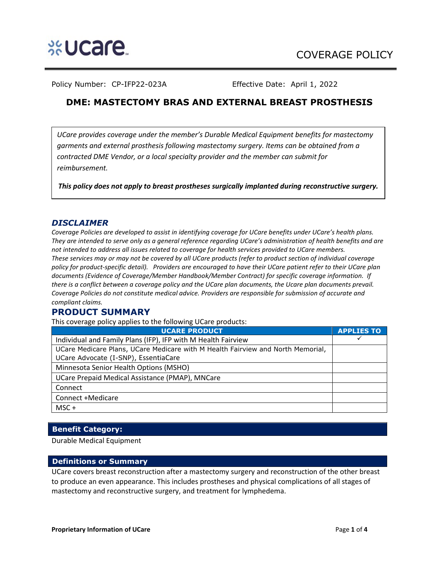

Policy Number: CP-IFP22-023A Effective Date: April 1, 2022

# **DME: MASTECTOMY BRAS AND EXTERNAL BREAST PROSTHESIS**

*UCare provides coverage under the member's Durable Medical Equipment benefits for mastectomy garments and external prosthesis following mastectomy surgery. Items can be obtained from a contracted DME Vendor, or a local specialty provider and the member can submit for reimbursement.* 

*This policy does not apply to breast prostheses surgically implanted during reconstructive surgery.* 

## *DISCLAIMER*

*Coverage Policies are developed to assist in identifying coverage for UCare benefits under UCare's health plans. They are intended to serve only as a general reference regarding UCare's administration of health benefits and are not intended to address all issues related to coverage for health services provided to UCare members. These services may or may not be covered by all UCare products (refer to product section of individual coverage policy for product-specific detail). Providers are encouraged to have their UCare patient refer to their UCare plan documents (Evidence of Coverage/Member Handbook/Member Contract) for specific coverage information. If there is a conflict between a coverage policy and the UCare plan documents, the Ucare plan documents prevail. Coverage Policies do not constitute medical advice. Providers are responsible for submission of accurate and compliant claims.* 

## **PRODUCT SUMMARY**

This coverage policy applies to the following UCare products:

| <b>UCARE PRODUCT</b>                                                            | <b>APPLIES TO</b> |
|---------------------------------------------------------------------------------|-------------------|
| Individual and Family Plans (IFP), IFP with M Health Fairview                   |                   |
| UCare Medicare Plans, UCare Medicare with M Health Fairview and North Memorial, |                   |
| UCare Advocate (I-SNP), EssentiaCare                                            |                   |
| Minnesota Senior Health Options (MSHO)                                          |                   |
| UCare Prepaid Medical Assistance (PMAP), MNCare                                 |                   |
| Connect                                                                         |                   |
| Connect +Medicare                                                               |                   |
| $MSC +$                                                                         |                   |

## **Benefit Category:**

Durable Medical Equipment

### **Definitions or Summary**

UCare covers breast reconstruction after a mastectomy surgery and reconstruction of the other breast to produce an even appearance. This includes prostheses and physical complications of all stages of mastectomy and reconstructive surgery, and treatment for lymphedema.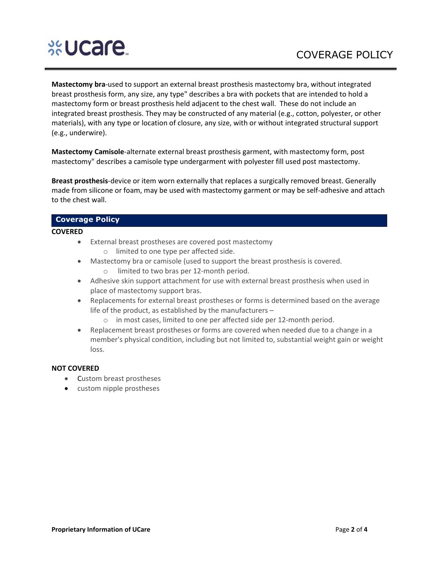# **SEUCAre**

**Mastectomy bra**-used to support an external breast prosthesis mastectomy bra, without integrated breast prosthesis form, any size, any type" describes a bra with pockets that are intended to hold a mastectomy form or breast prosthesis held adjacent to the chest wall. These do not include an integrated breast prosthesis. They may be constructed of any material (e.g., cotton, polyester, or other materials), with any type or location of closure, any size, with or without integrated structural support (e.g., underwire).

**Mastectomy Camisole**-alternate external breast prosthesis garment, with mastectomy form, post mastectomy" describes a camisole type undergarment with polyester fill used post mastectomy.

**Breast prosthesis**-device or item worn externally that replaces a surgically removed breast. Generally made from silicone or foam, may be used with mastectomy garment or may be self-adhesive and attach to the chest wall.

#### **Coverage Policy**

#### **COVERED**

- External breast prostheses are covered post mastectomy
	- o limited to one type per affected side.
- Mastectomy bra or camisole (used to support the breast prosthesis is covered. o limited to two bras per 12-month period.
- Adhesive skin support attachment for use with external breast prosthesis when used in place of mastectomy support bras.
- Replacements for external breast prostheses or forms is determined based on the average life of the product, as established by the manufacturers –
	- o in most cases, limited to one per affected side per 12-month period.
- Replacement breast prostheses or forms are covered when needed due to a change in a member's physical condition, including but not limited to, substantial weight gain or weight loss.

#### **NOT COVERED**

- Custom breast prostheses
- custom nipple prostheses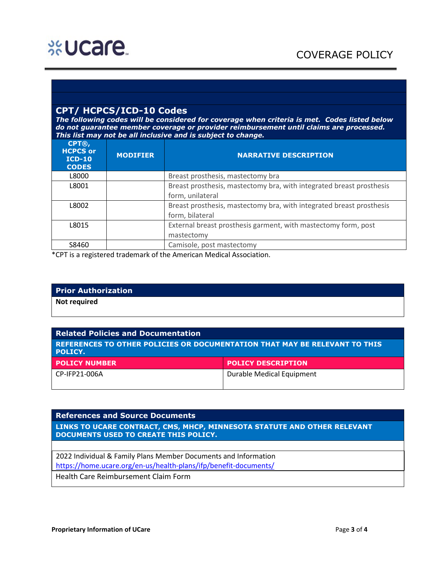# **CPT/ HCPCS/ICD-10 Codes**

*The following codes will be considered for coverage when criteria is met. Codes listed below do not guarantee member coverage or provider reimbursement until claims are processed. This list may not be all inclusive and is subject to change.* 

| $CPT@$ ,<br><b>HCPCS or</b><br>$ICD-10$<br><b>CODES</b> | <b>MODIFIER</b> | <b>NARRATIVE DESCRIPTION</b>                                                             |
|---------------------------------------------------------|-----------------|------------------------------------------------------------------------------------------|
| L8000                                                   |                 | Breast prosthesis, mastectomy bra                                                        |
| L8001                                                   |                 | Breast prosthesis, mastectomy bra, with integrated breast prosthesis<br>form, unilateral |
| L8002                                                   |                 | Breast prosthesis, mastectomy bra, with integrated breast prosthesis<br>form, bilateral  |
| L8015                                                   |                 | External breast prosthesis garment, with mastectomy form, post<br>mastectomy             |
| S8460                                                   |                 | Camisole, post mastectomy                                                                |

\*CPT is a registered trademark of the American Medical Association.

#### **Prior Authorization**

**Not required**

#### **Related Policies and Documentation**

**REFERENCES TO OTHER POLICIES OR DOCUMENTATION THAT MAY BE RELEVANT TO THIS POLICY.**

| <b>POLICY NUMBER</b> | <b>POLICY DESCRIPTION</b> |
|----------------------|---------------------------|
| CP-IFP21-006A        | Durable Medical Equipment |
|                      |                           |

### **References and Source Documents**

**LINKS TO UCARE CONTRACT, CMS, MHCP, MINNESOTA STATUTE AND OTHER RELEVANT DOCUMENTS USED TO CREATE THIS POLICY.**

2022 Individual & Family Plans Member Documents and Information <https://home.ucare.org/en-us/health-plans/ifp/benefit-documents/> Health Care Reimbursement Claim Form